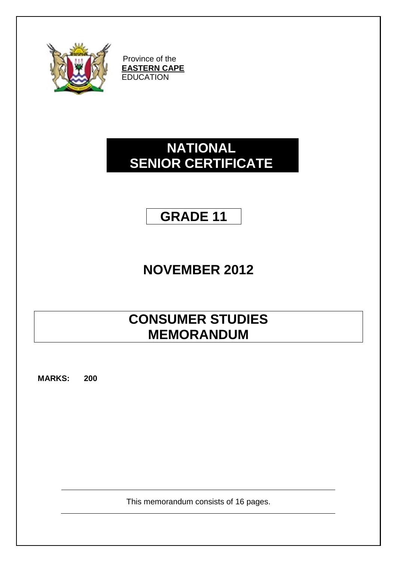

Province of the **EASTERN CAPE EDUCATION** 

# **NATIONAL SENIOR CERTIFICATE**

# **GRADE 11**

# **NOVEMBER 2012**

# **CONSUMER STUDIES MEMORANDUM**

**MARKS: 200**

This memorandum consists of 16 pages.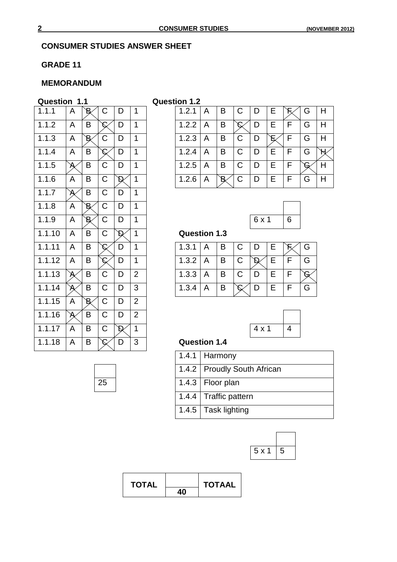#### **CONSUMER STUDIES ANSWER SHEET**

#### **GRADE 11**

## **MEMORANDUM**

#### **Question 1.1 Question 1.2**

| 1.1.1  | A                                                                                                                                                                                                                                                                                                                                                                                                                                                                                                                      | B               | C        | D             | 1              | 1.2.1               | A | B               | C            | D                                                                                                              | Е | Ě              |
|--------|------------------------------------------------------------------------------------------------------------------------------------------------------------------------------------------------------------------------------------------------------------------------------------------------------------------------------------------------------------------------------------------------------------------------------------------------------------------------------------------------------------------------|-----------------|----------|---------------|----------------|---------------------|---|-----------------|--------------|----------------------------------------------------------------------------------------------------------------|---|----------------|
| 1.1.2  | A                                                                                                                                                                                                                                                                                                                                                                                                                                                                                                                      | B               | С        | D             | 1              | 1.2.2               | A | B               | $\mathcal C$ | D                                                                                                              | E | F              |
| 1.1.3  | A                                                                                                                                                                                                                                                                                                                                                                                                                                                                                                                      | B               | C        | D             | 1              | 1.2.3               | A | B               | C            | D                                                                                                              | р | F              |
| 1.1.4  | A                                                                                                                                                                                                                                                                                                                                                                                                                                                                                                                      | B               | $\cal C$ | D             | 1              | 1.2.4               | A | B               | $\mathsf C$  | D                                                                                                              | E | F              |
| 1.1.5  | $\mathcal{A}% _{0}=\mathcal{A}_{\mathrm{CL}}\!\left( \mathcal{A}_{\mathrm{CL}}\right) ^{\ast }=\mathcal{A}_{\mathrm{CL}}\!\left( \mathcal{A}_{\mathrm{CL}}\right) ^{\ast }=\mathcal{A}_{\mathrm{CL}}\!\left( \mathcal{A}_{\mathrm{CL}}\right) ^{\ast }=\mathcal{A}_{\mathrm{CL}}\!\left( \mathcal{A}_{\mathrm{CL}}\right) ^{\ast }=\mathcal{A}_{\mathrm{CL}}\!\left( \mathcal{A}_{\mathrm{CL}}\right) ^{\ast }=\mathcal{A}_{\mathrm{CL}}\!\left( \mathcal{A}_{\mathrm{CL}}\right) ^{\ast }=\mathcal{A}_{\mathrm{CL}}\$ | B               | C        | D             | $\mathbf{1}$   | 1.2.5               | A | B               | $\mathsf C$  | D                                                                                                              | E | F              |
| 1.1.6  | A                                                                                                                                                                                                                                                                                                                                                                                                                                                                                                                      | B               | C        | D             | $\mathbf{1}$   | 1.2.6               | A | $\, {\bf B} \,$ | $\mathsf C$  | D                                                                                                              | E | F              |
| 1.1.7  | $\cancel{\mathsf{A}}$                                                                                                                                                                                                                                                                                                                                                                                                                                                                                                  | B               | C        | D             | 1              |                     |   |                 |              |                                                                                                                |   |                |
| 1.1.8  | A                                                                                                                                                                                                                                                                                                                                                                                                                                                                                                                      | B,              | C        | D             | 1              |                     |   |                 |              |                                                                                                                |   |                |
| 1.1.9  | A                                                                                                                                                                                                                                                                                                                                                                                                                                                                                                                      | $\, {\bf B} \,$ | С        | D             | 1              |                     |   |                 |              | 6 x 1                                                                                                          |   | 6              |
|        |                                                                                                                                                                                                                                                                                                                                                                                                                                                                                                                        |                 |          |               |                |                     |   |                 |              |                                                                                                                |   |                |
| 1.1.10 | A                                                                                                                                                                                                                                                                                                                                                                                                                                                                                                                      | B               | C        | D             | $\mathbf{1}$   | <b>Question 1.3</b> |   |                 |              |                                                                                                                |   |                |
| 1.1.11 | A                                                                                                                                                                                                                                                                                                                                                                                                                                                                                                                      | B               | C        | D             | 1              | 1.3.1               | A | B               | C            | D                                                                                                              | E | ति             |
| 1.1.12 | A                                                                                                                                                                                                                                                                                                                                                                                                                                                                                                                      | B               | C        | D             | 1              | 1.3.2               | A | B               | C            | $\mathcal{D}% _{T}=\mathcal{D}_{T}\!\left( a,b\right) ,\ \mathcal{D}_{T}=\mathcal{D}_{T}\!\left( a,b\right) ,$ | E | F              |
| 1.1.13 | Ą                                                                                                                                                                                                                                                                                                                                                                                                                                                                                                                      | B               | C        | D             | $\overline{2}$ | 1.3.3               | A | B               | C            | D                                                                                                              | Е | F              |
| 1.1.14 | $\cancel{\mathsf{A}}$                                                                                                                                                                                                                                                                                                                                                                                                                                                                                                  | B               | C        | D             | 3              | 1.3.4               | A | B               | C            | D                                                                                                              | E | F              |
| 1.1.15 | A                                                                                                                                                                                                                                                                                                                                                                                                                                                                                                                      | $\, {\bf B} \,$ | C        | D             | $\overline{2}$ |                     |   |                 |              |                                                                                                                |   |                |
| 1.1.16 | $\cancel{\mathsf{A}}$                                                                                                                                                                                                                                                                                                                                                                                                                                                                                                  | B               | С        | D             | $\overline{2}$ |                     |   |                 |              |                                                                                                                |   |                |
| 1.1.17 | A                                                                                                                                                                                                                                                                                                                                                                                                                                                                                                                      | B               | С        | $\mathcal{D}$ | 1              |                     |   |                 |              | $4 \times 1$                                                                                                   |   | $\overline{4}$ |

| 1.1.1 | A |   |  |  | 1.2.1 | A | B |  | Е | G |   |
|-------|---|---|--|--|-------|---|---|--|---|---|---|
| 1.1.2 | A | B |  |  | 1.2.2 | A | B |  |   | G |   |
| 1.1.3 | A |   |  |  | 1.2.3 | A | B |  |   | G | н |
| 1.1.4 | A | B |  |  | 1.2.4 | A | в |  |   | G |   |
| 1.1.5 |   | в |  |  | 1.2.5 | A | B |  |   |   |   |
| 1.1.6 | A | B |  |  | 1.2.6 | A |   |  |   | G |   |



#### **Question 1.3**

| 1.1.11 $ A $ |  |       |  | 1.3.1   A   B   C   D   E   |  |  |     |  |
|--------------|--|-------|--|-----------------------------|--|--|-----|--|
| 1.1.12 $ A $ |  |       |  | 1.3.2   A   B   C           |  |  | E   |  |
| 1.1.13       |  | B   C |  | $1.3.3$ $A$ $B$ $C$ $D$ $E$ |  |  |     |  |
| 1.1.14       |  | B   C |  | $1.3.4 \mid A$              |  |  | IE. |  |



### **Question 1.4**

|    | 1.4.1   Harmony               |
|----|-------------------------------|
|    | 1.4.2   Proudly South African |
| 25 | 1.4.3   Floor plan            |
|    | 1.4.4   Traffic pattern       |
|    | 1.4.5 $\vert$ Task lighting   |



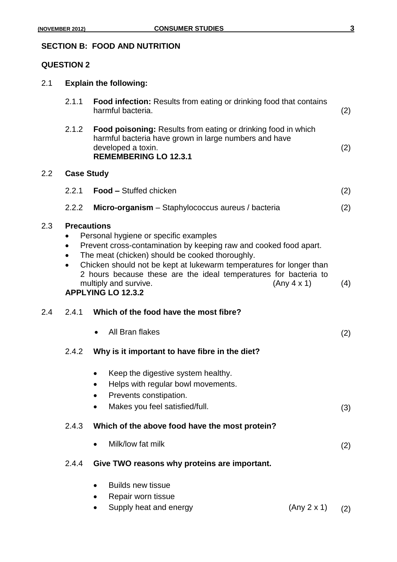# **SECTION B: FOOD AND NUTRITION**

2.1 **Explain the following:**

### **QUESTION 2**

|         | 2.1.1                                        | <b>Food infection:</b> Results from eating or drinking food that contains<br>harmful bacteria.                                                                                                                                                                                                                                                                                | (2) |
|---------|----------------------------------------------|-------------------------------------------------------------------------------------------------------------------------------------------------------------------------------------------------------------------------------------------------------------------------------------------------------------------------------------------------------------------------------|-----|
|         | 2.1.2                                        | Food poisoning: Results from eating or drinking food in which<br>harmful bacteria have grown in large numbers and have<br>developed a toxin.<br><b>REMEMBERING LO 12.3.1</b>                                                                                                                                                                                                  | (2) |
| $2.2\,$ | <b>Case Study</b>                            |                                                                                                                                                                                                                                                                                                                                                                               |     |
|         | 2.2.1                                        | <b>Food – Stuffed chicken</b>                                                                                                                                                                                                                                                                                                                                                 | (2) |
|         | 2.2.2                                        | Micro-organism - Staphylococcus aureus / bacteria                                                                                                                                                                                                                                                                                                                             | (2) |
| 2.3     | <b>Precautions</b><br>$\bullet$<br>$\bullet$ | Personal hygiene or specific examples<br>Prevent cross-contamination by keeping raw and cooked food apart.<br>The meat (chicken) should be cooked thoroughly.<br>Chicken should not be kept at lukewarm temperatures for longer than<br>2 hours because these are the ideal temperatures for bacteria to<br>(Any 4 x 1)<br>multiply and survive.<br><b>APPLYING LO 12.3.2</b> | (4) |
| 2.4     | 2.4.1                                        | Which of the food have the most fibre?                                                                                                                                                                                                                                                                                                                                        |     |
|         |                                              | All Bran flakes                                                                                                                                                                                                                                                                                                                                                               | (2) |
|         | 2.4.2                                        | Why is it important to have fibre in the diet?                                                                                                                                                                                                                                                                                                                                |     |
|         |                                              | Keep the digestive system healthy.<br>Helps with regular bowl movements.<br>Prevents constipation.<br>Makes you feel satisfied/full.                                                                                                                                                                                                                                          | (3) |
|         | 2.4.3                                        | Which of the above food have the most protein?                                                                                                                                                                                                                                                                                                                                |     |
|         |                                              | Milk/low fat milk                                                                                                                                                                                                                                                                                                                                                             | (2) |
|         | 2.4.4                                        | Give TWO reasons why proteins are important.                                                                                                                                                                                                                                                                                                                                  |     |
|         |                                              | <b>Builds new tissue</b><br>Repair worn tissue                                                                                                                                                                                                                                                                                                                                |     |

• Supply heat and energy  $(Any 2 x 1)$   $(2)$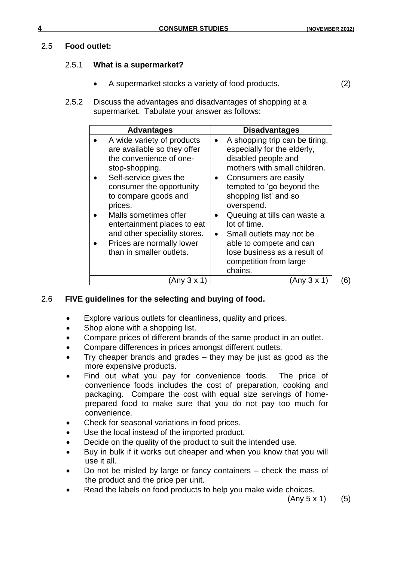#### 2.5 **Food outlet:**

#### 2.5.1 **What is a supermarket?**

- A supermarket stocks a variety of food products. (2)
- 2.5.2 Discuss the advantages and disadvantages of shopping at a supermarket. Tabulate your answer as follows:

| <b>Advantages</b>                                                                                                                                                                                                                                                                                                                                | <b>Disadvantages</b>                                                                                                                                                                                                                                                                                                                                                                                                                             |
|--------------------------------------------------------------------------------------------------------------------------------------------------------------------------------------------------------------------------------------------------------------------------------------------------------------------------------------------------|--------------------------------------------------------------------------------------------------------------------------------------------------------------------------------------------------------------------------------------------------------------------------------------------------------------------------------------------------------------------------------------------------------------------------------------------------|
| A wide variety of products<br>are available so they offer<br>the convenience of one-<br>stop-shopping.<br>Self-service gives the<br>consumer the opportunity<br>to compare goods and<br>prices.<br>Malls sometimes offer<br>entertainment places to eat<br>and other speciality stores.<br>Prices are normally lower<br>than in smaller outlets. | A shopping trip can be tiring,<br>$\bullet$<br>especially for the elderly,<br>disabled people and<br>mothers with small children.<br>Consumers are easily<br>$\bullet$<br>tempted to 'go beyond the<br>shopping list' and so<br>overspend.<br>Queuing at tills can waste a<br>$\bullet$<br>lot of time.<br>Small outlets may not be<br>$\bullet$<br>able to compete and can<br>lose business as a result of<br>competition from large<br>chains. |
| Any $3 \times 1$                                                                                                                                                                                                                                                                                                                                 | (Any 3 x 1                                                                                                                                                                                                                                                                                                                                                                                                                                       |

2.6 **FIVE guidelines for the selecting and buying of food.**

- Explore various outlets for cleanliness, quality and prices.
- Shop alone with a shopping list.
- Compare prices of different brands of the same product in an outlet.
- Compare differences in prices amongst different outlets.
- Try cheaper brands and grades they may be just as good as the more expensive products.
- Find out what you pay for convenience foods. The price of convenience foods includes the cost of preparation, cooking and packaging. Compare the cost with equal size servings of homeprepared food to make sure that you do not pay too much for convenience.
- Check for seasonal variations in food prices.
- Use the local instead of the imported product.
- Decide on the quality of the product to suit the intended use.
- Buy in bulk if it works out cheaper and when you know that you will use it all.
- Do not be misled by large or fancy containers check the mass of the product and the price per unit.
- Read the labels on food products to help you make wide choices.

 $(Any 5 x 1)$  (5)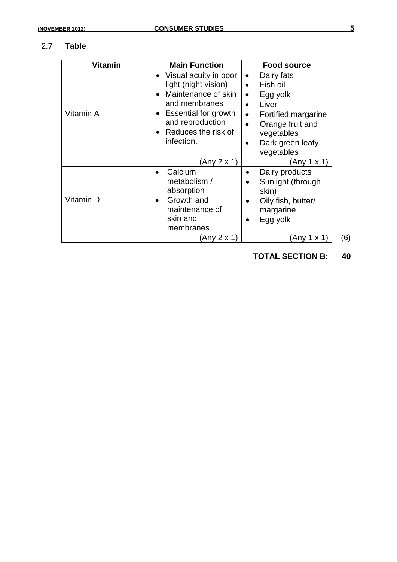#### 2.7 **Table**

| <b>Vitamin</b> | <b>Main Function</b>                                                                                                                                                          | <b>Food source</b>                                                                                                                                                                                           |
|----------------|-------------------------------------------------------------------------------------------------------------------------------------------------------------------------------|--------------------------------------------------------------------------------------------------------------------------------------------------------------------------------------------------------------|
| Vitamin A      | Visual acuity in poor<br>light (night vision)<br>Maintenance of skin<br>and membranes<br><b>Essential for growth</b><br>and reproduction<br>Reduces the risk of<br>infection. | Dairy fats<br>٠<br>Fish oil<br>$\bullet$<br>Egg yolk<br>$\bullet$<br>Liver<br>$\bullet$<br>Fortified margarine<br>$\bullet$<br>Orange fruit and<br>$\bullet$<br>vegetables<br>Dark green leafy<br>vegetables |
|                | (Any 2 x 1)                                                                                                                                                                   | (Any 1 x 1)                                                                                                                                                                                                  |
| Vitamin D      | Calcium<br>metabolism /<br>absorption<br>Growth and<br>maintenance of<br>skin and<br>membranes                                                                                | Dairy products<br>Sunlight (through<br>skin)<br>Oily fish, butter/<br>margarine<br>Egg yolk                                                                                                                  |
|                | (Any 2 x 1)                                                                                                                                                                   | (Any 1 x 1)                                                                                                                                                                                                  |

**TOTAL SECTION B: 40**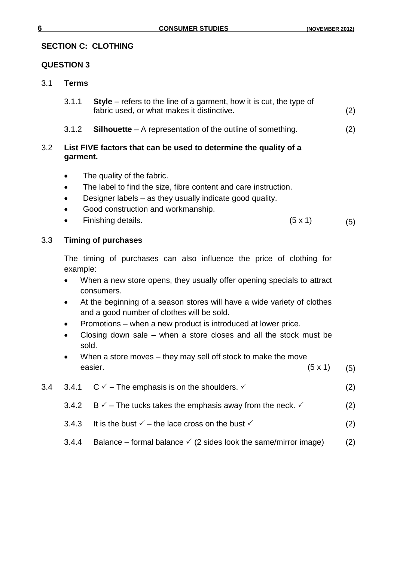### **SECTION C: CLOTHING**

#### **QUESTION 3**

#### 3.1 **Terms**

- 3.1.1 **Style** refers to the line of a garment, how it is cut, the type of fabric used, or what makes it distinctive. (2)
- 3.1.2 **Silhouette** A representation of the outline of something. (2)

## 3.2 **List FIVE factors that can be used to determine the quality of a garment.**

- The quality of the fabric.
- The label to find the size, fibre content and care instruction.
- Designer labels as they usually indicate good quality.
- Good construction and workmanship.
- Finishing details.  $(5 \times 1)$  (5)

3.3 **Timing of purchases** 

The timing of purchases can also influence the price of clothing for example:

- When a new store opens, they usually offer opening specials to attract consumers.
- At the beginning of a season stores will have a wide variety of clothes and a good number of clothes will be sold.
- Promotions when a new product is introduced at lower price.
- Closing down sale when a store closes and all the stock must be sold.
- When a store moves they may sell off stock to make the move easier.  $(5 \times 1)$  (5)
- 3.4 3.4.1  $C \vee$  The emphasis is on the shoulders.  $\vee$  (2) 3.4.2 B  $\checkmark$  – The tucks takes the emphasis away from the neck.  $\checkmark$  (2) 3.4.3 It is the bust  $\checkmark$  – the lace cross on the bust  $\checkmark$  (2)
	- 3.4.4 Balance formal balance  $\checkmark$  (2 sides look the same/mirror image) (2)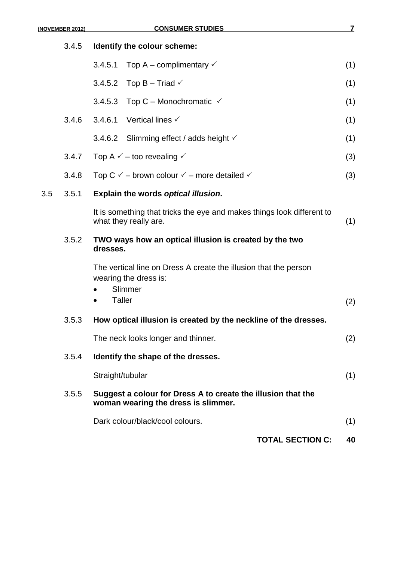|       | (NOVEMBER 2012) | <b>CONSUMER STUDIES</b>                                                                                                            | 7   |  |  |  |  |  |  |
|-------|-----------------|------------------------------------------------------------------------------------------------------------------------------------|-----|--|--|--|--|--|--|
| 3.4.5 |                 | Identify the colour scheme:                                                                                                        |     |  |  |  |  |  |  |
|       |                 | Top A – complimentary $\checkmark$<br>3.4.5.1                                                                                      | (1) |  |  |  |  |  |  |
|       |                 | 3.4.5.2 Top B - Triad $\checkmark$                                                                                                 | (1) |  |  |  |  |  |  |
|       |                 | Top C – Monochromatic $\checkmark$<br>3.4.5.3                                                                                      | (1) |  |  |  |  |  |  |
|       | 3.4.6           | 3.4.6.1<br>Vertical lines $\checkmark$                                                                                             | (1) |  |  |  |  |  |  |
|       |                 | 3.4.6.2 Slimming effect / adds height $\checkmark$                                                                                 | (1) |  |  |  |  |  |  |
|       | 3.4.7           | Top A $\checkmark$ – too revealing $\checkmark$                                                                                    | (3) |  |  |  |  |  |  |
|       | 3.4.8           | Top C $\checkmark$ – brown colour $\checkmark$ – more detailed $\checkmark$                                                        | (3) |  |  |  |  |  |  |
| 3.5   | 3.5.1           | Explain the words optical illusion.                                                                                                |     |  |  |  |  |  |  |
|       |                 | It is something that tricks the eye and makes things look different to<br>what they really are.                                    | (1) |  |  |  |  |  |  |
|       | 3.5.2           | TWO ways how an optical illusion is created by the two<br>dresses.                                                                 |     |  |  |  |  |  |  |
|       |                 | The vertical line on Dress A create the illusion that the person<br>wearing the dress is:<br>Slimmer<br>$\bullet$<br><b>Taller</b> | (2) |  |  |  |  |  |  |
|       | 3.5.3           | How optical illusion is created by the neckline of the dresses                                                                     |     |  |  |  |  |  |  |
|       |                 | The neck looks longer and thinner.                                                                                                 | (2) |  |  |  |  |  |  |
|       | 3.5.4           | Identify the shape of the dresses.                                                                                                 |     |  |  |  |  |  |  |
|       |                 | Straight/tubular                                                                                                                   | (1) |  |  |  |  |  |  |
|       | 3.5.5           | Suggest a colour for Dress A to create the illusion that the<br>woman wearing the dress is slimmer.                                |     |  |  |  |  |  |  |
|       |                 | Dark colour/black/cool colours.                                                                                                    | (1) |  |  |  |  |  |  |
|       |                 | <b>TOTAL SECTION C:</b>                                                                                                            | 40  |  |  |  |  |  |  |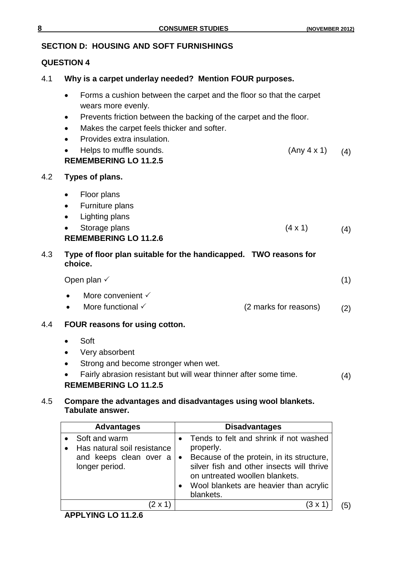# **SECTION D: HOUSING AND SOFT FURNISHINGS**

## **QUESTION 4**

- 4.1 **Why is a carpet underlay needed? Mention FOUR purposes.**
	- Forms a cushion between the carpet and the floor so that the carpet wears more evenly.
	- Prevents friction between the backing of the carpet and the floor.
	- Makes the carpet feels thicker and softer.
	- Provides extra insulation.
	- Helps to muffle sounds.  $(4)$  (Any 4 x 1) (4) **REMEMBERING LO 11.2.5**

## 4.2 **Types of plans.**

- Floor plans
- Furniture plans
- Lighting plans
- Storage plans  $(4 \times 1)$  (4) **REMEMBERING LO 11.2.6**

# 4.3 **Type of floor plan suitable for the handicapped. TWO reasons for choice.**

Open plan  $\checkmark$  (1)

- More convenient  $\checkmark$
- More functional  $\checkmark$  (2 marks for reasons) (2)
- 4.4 **FOUR reasons for using cotton.**
	- Soft
	- Very absorbent
	- Strong and become stronger when wet.
	- Fairly abrasion resistant but will wear thinner after some time. (4)

# **REMEMBERING LO 11.2.5**

## 4.5 **Compare the advantages and disadvantages using wool blankets. Tabulate answer.**

| <b>Advantages</b>                                                                                       | <b>Disadvantages</b>                                                                                                                                                                                                                   |
|---------------------------------------------------------------------------------------------------------|----------------------------------------------------------------------------------------------------------------------------------------------------------------------------------------------------------------------------------------|
| Soft and warm<br>Has natural soil resistance<br>and keeps clean over $a \mid \bullet$<br>longer period. | Tends to felt and shrink if not washed<br>properly.<br>Because of the protein, in its structure,<br>silver fish and other insects will thrive<br>on untreated woollen blankets.<br>Wool blankets are heavier than acrylic<br>blankets. |
| (2 x 1'                                                                                                 | $(3 \times 1)$                                                                                                                                                                                                                         |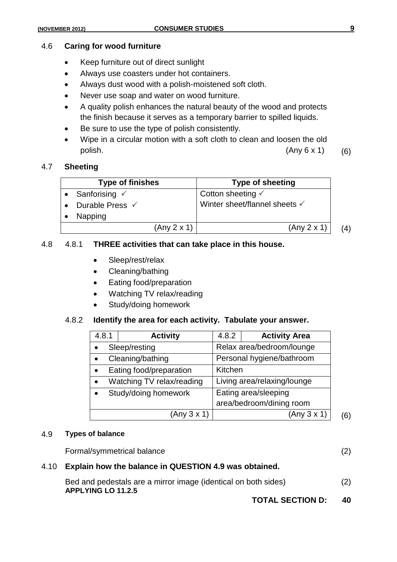#### 4.6 **Caring for wood furniture**

- Keep furniture out of direct sunlight
- Always use coasters under hot containers.
- Always dust wood with a polish-moistened soft cloth.
- Never use soap and water on wood furniture.
- A quality polish enhances the natural beauty of the wood and protects the finish because it serves as a temporary barrier to spilled liquids.
- Be sure to use the type of polish consistently.
- Wipe in a circular motion with a soft cloth to clean and loosen the old polish.  $(Any 6 x 1)$  (6)

#### 4.7 **Sheeting**

| <b>Type of finishes</b>    | Type of sheeting              |     |
|----------------------------|-------------------------------|-----|
| Sanforising $\checkmark$   | Cotton sheeting $\checkmark$  |     |
| Durable Press $\checkmark$ | Winter sheet/flannel sheets √ |     |
| Napping                    |                               |     |
| (Any 2 x 1)                | (Any 2 x 1)                   | (4) |

#### 4.8 4.8.1 **THREE activities that can take place in this house.**

- Sleep/rest/relax
- Cleaning/bathing
- Eating food/preparation
- Watching TV relax/reading
- Study/doing homework

#### 4.8.2 **Identify the area for each activity. Tabulate your answer.**

| 4.8.1     | <b>Activity</b>           | 4.8.2                       | <b>Activity Area</b>      |  |  |  |
|-----------|---------------------------|-----------------------------|---------------------------|--|--|--|
|           | Sleep/resting             |                             | Relax area/bedroom/lounge |  |  |  |
|           | Cleaning/bathing          |                             | Personal hygiene/bathroom |  |  |  |
| $\bullet$ | Eating food/preparation   | Kitchen                     |                           |  |  |  |
| $\bullet$ | Watching TV relax/reading | Living area/relaxing/lounge |                           |  |  |  |
|           | Study/doing homework      | Eating area/sleeping        |                           |  |  |  |
|           |                           |                             | area/bedroom/dining room  |  |  |  |
|           | (Any 3 x 1)               |                             | (Any 3 x 1)               |  |  |  |

#### 4.9 **Types of balance**

Formal/symmetrical balance (2)

#### 4.10 **Explain how the balance in QUESTION 4.9 was obtained.**

| Bed and pedestals are a mirror image (identical on both sides) | (2) |
|----------------------------------------------------------------|-----|
| <b>APPLYING LO 11.2.5</b>                                      |     |

**TOTAL SECTION D: 40**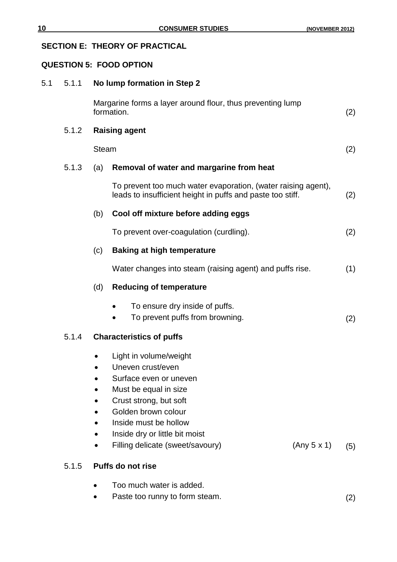# **SECTION E: THEORY OF PRACTICAL**

#### **QUESTION 5: FOOD OPTION**

| 5.1 | 5.1.1 | No lump formation in Step 2                                                                                                                                                                                |     |  |  |  |  |
|-----|-------|------------------------------------------------------------------------------------------------------------------------------------------------------------------------------------------------------------|-----|--|--|--|--|
|     |       | Margarine forms a layer around flour, thus preventing lump<br>formation.                                                                                                                                   |     |  |  |  |  |
|     | 5.1.2 | <b>Raising agent</b>                                                                                                                                                                                       |     |  |  |  |  |
|     |       | <b>Steam</b>                                                                                                                                                                                               | (2) |  |  |  |  |
|     | 5.1.3 | Removal of water and margarine from heat<br>(a)                                                                                                                                                            |     |  |  |  |  |
|     |       | To prevent too much water evaporation, (water raising agent),<br>leads to insufficient height in puffs and paste too stiff.                                                                                | (2) |  |  |  |  |
|     |       | Cool off mixture before adding eggs<br>(b)                                                                                                                                                                 |     |  |  |  |  |
|     |       | To prevent over-coagulation (curdling).                                                                                                                                                                    | (2) |  |  |  |  |
|     |       | (c)<br><b>Baking at high temperature</b>                                                                                                                                                                   |     |  |  |  |  |
|     |       | Water changes into steam (raising agent) and puffs rise.                                                                                                                                                   |     |  |  |  |  |
|     |       | (d)<br><b>Reducing of temperature</b>                                                                                                                                                                      |     |  |  |  |  |
|     |       | To ensure dry inside of puffs.<br>$\bullet$<br>To prevent puffs from browning.                                                                                                                             | (2) |  |  |  |  |
|     | 5.1.4 | <b>Characteristics of puffs</b>                                                                                                                                                                            |     |  |  |  |  |
|     |       | Light in volume/weight<br>Uneven crust/even<br>Surface even or uneven<br>Must be equal in size<br>Crust strong, but soft<br>Golden brown colour<br>Inside must be hollow<br>Inside dry or little bit moist |     |  |  |  |  |
|     |       | (Any 5 x 1)<br>Filling delicate (sweet/savoury)                                                                                                                                                            | (5) |  |  |  |  |
|     | 5.1.5 | <b>Puffs do not rise</b>                                                                                                                                                                                   |     |  |  |  |  |
|     |       | Too much water is added.<br>Paste too runny to form steam.                                                                                                                                                 | (2) |  |  |  |  |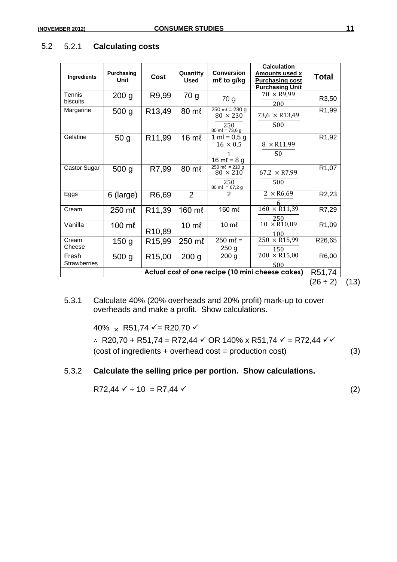| Ingredients                  | Purchasing<br><b>Unit</b> | Cost                | Quantity<br><b>Used</b> | <b>Conversion</b><br>$m\ell$ to g/kg                                                   | <b>Calculation</b><br><b>Amounts used x</b><br><b>Purchasing cost</b><br><b>Purchasing Unit</b> | <b>Total</b>       |
|------------------------------|---------------------------|---------------------|-------------------------|----------------------------------------------------------------------------------------|-------------------------------------------------------------------------------------------------|--------------------|
| <b>Tennis</b><br>biscuits    | 200 <sub>g</sub>          | R9,99               | 70 g                    | 70 g                                                                                   | $70 \times R9,99$<br>200                                                                        | R3,50              |
| Margarine                    | 500 <sub>g</sub>          | R13,49              | 80 ml                   | $250 \text{ m} = 230 \text{ g}$<br>$80 \times 230$<br>250<br>$80 \text{ m}$ l = 73,6 g | $73,6 \times R13,49$<br>500                                                                     | R <sub>1</sub> ,99 |
| Gelatine                     | 50 <sub>g</sub>           | R11,99              | $16 \text{ m}$          | 1 ml = $0,5$ g<br>$16 \times 0,5$<br>1<br>16 ml = $8 g$                                | $8 \times R11,99$<br>50                                                                         | R <sub>1</sub> ,92 |
| Castor Sugar                 | 500 <sub>g</sub>          | R7,99               | 80 ml                   | $250 \text{ m}$ l = 210 g<br>$80 \times 210$<br>250<br>$80 \text{ m}$ l = 67,2 g       | $67,2 \times R7,99$<br>500                                                                      | R <sub>1</sub> ,07 |
| Eggs                         | $6$ (large)               | R6,69               | $\overline{2}$          | 2                                                                                      | $2 \times R6,69$<br>6                                                                           | R <sub>2</sub> ,23 |
| Cream                        | 250 ml                    | R11,39              | 160 ml                  | 160 ml                                                                                 | $160 \times R11,39$<br>250                                                                      | R7,29              |
| Vanilla                      | 100 ml                    | R10,89              | $10 \text{ m}$          | $10 \text{ m}$                                                                         | $10 \times R10,89$<br>100                                                                       | R1,09              |
| Cream<br>Cheese              | 150 <sub>g</sub>          | R <sub>15,99</sub>  | 250 ml                  | $250 \text{ m}$ l =<br>250 <sub>g</sub>                                                | $250 \times R15,99$<br>150                                                                      | R26,65             |
| Fresh<br><b>Strawberries</b> | 500 <sub>g</sub>          | R <sub>15</sub> ,00 | 200 <sub>g</sub>        | 200 <sub>g</sub>                                                                       | $200 \times R15,00$<br>500                                                                      | R6,00              |
|                              |                           |                     |                         |                                                                                        | Actual cost of one recipe (10 mini cheese cakes)                                                | R51,74             |
|                              |                           |                     |                         |                                                                                        |                                                                                                 | $(26 \div 2)$      |

#### 5.2 5.2.1 **Calculating costs**

5.3.1 Calculate 40% (20% overheads and 20% profit) mark-up to cover overheads and make a profit. Show calculations.

40%  $\times$  R51,74  $\checkmark$  = R20,70  $\checkmark$ 

∴ R20,70 + R51,74 = R72,44  $\checkmark$  OR 140% x R51,74  $\checkmark$  = R72,44  $\checkmark$ (cost of ingredients + overhead cost = production cost) (3)

#### 5.3.2 **Calculate the selling price per portion. Show calculations.**

 $R72,44 \times \div 10 = R7,44 \times$  (2)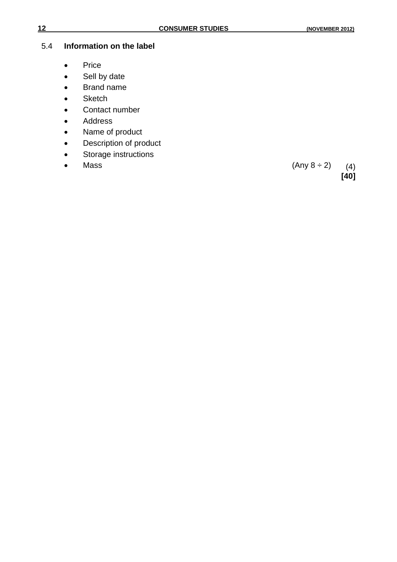#### 5.4 **Information on the label**

- Price
- Sell by date
- Brand name
- **Sketch**
- Contact number
- Address
- Name of product
- Description of product
- Storage instructions
- 

• Mass (Any  $8 \div 2$ ) (4) **[40]**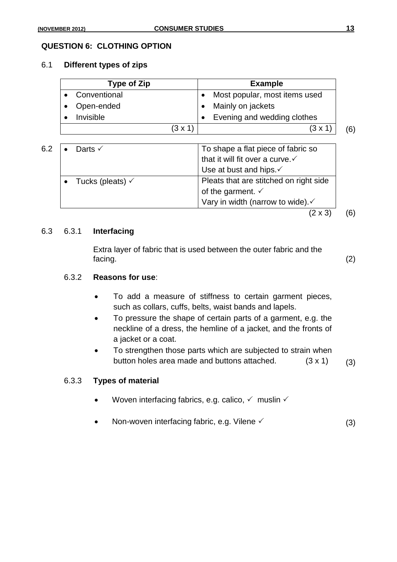# 6.1 **Different types of zips**

| Type of Zip    | <b>Example</b>                |     |
|----------------|-------------------------------|-----|
| • Conventional | Most popular, most items used |     |
| • Open-ended   | Mainly on jackets             |     |
| Invisible      | Evening and wedding clothes   |     |
| $(3 \times 1)$ | $(3 \times 1)$                | (6) |

| 6.2 | Darts $\checkmark$          | To shape a flat piece of fabric so          |  |  |
|-----|-----------------------------|---------------------------------------------|--|--|
|     |                             | that it will fit over a curve. $\checkmark$ |  |  |
|     |                             | Use at bust and hips.√                      |  |  |
|     | Tucks (pleats) $\checkmark$ | Pleats that are stitched on right side      |  |  |
|     |                             | of the garment. $\checkmark$                |  |  |
|     |                             | Vary in width (narrow to wide).             |  |  |

 $(2 \times 3)$  (6)

#### 6.3 6.3.1 **Interfacing**

Extra layer of fabric that is used between the outer fabric and the facing. (2)

#### 6.3.2 **Reasons for use**:

- To add a measure of stiffness to certain garment pieces, such as collars, cuffs, belts, waist bands and lapels.
- To pressure the shape of certain parts of a garment, e.g. the neckline of a dress, the hemline of a jacket, and the fronts of a jacket or a coat.
- To strengthen those parts which are subjected to strain when button holes area made and buttons attached.  $(3 \times 1)$  (3)

#### 6.3.3 **Types of material**

- Woven interfacing fabrics, e.g. calico,  $\checkmark$  muslin  $\checkmark$
- Non-woven interfacing fabric, e.g. Vilene  $\checkmark$  (3)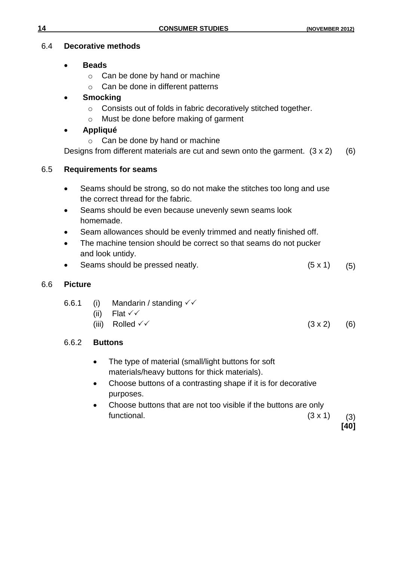# 6.4 **Decorative methods**

- **Beads**
	- o Can be done by hand or machine
	- o Can be done in different patterns

# **Smocking**

- o Consists out of folds in fabric decoratively stitched together.
- o Must be done before making of garment

# **Appliqué**

o Can be done by hand or machine

Designs from different materials are cut and sewn onto the garment.  $(3 \times 2)$  (6)

# 6.5 **Requirements for seams**

- Seams should be strong, so do not make the stitches too long and use the correct thread for the fabric.
- Seams should be even because unevenly sewn seams look homemade.
- Seam allowances should be evenly trimmed and neatly finished off.
- The machine tension should be correct so that seams do not pucker and look untidy.
- Seams should be pressed neatly.  $(5 \times 1)$  (5)

# 6.6 **Picture**

| 6.6.1 |  | (i) Mandarin / standing $\checkmark\checkmark$ |
|-------|--|------------------------------------------------|
|-------|--|------------------------------------------------|

- (ii) Flat  $\checkmark\checkmark$
- (iii) Rolled  $\checkmark$  (3 x 2) (6)

# 6.6.2 **Buttons**

- The type of material (small/light buttons for soft materials/heavy buttons for thick materials).
- Choose buttons of a contrasting shape if it is for decorative purposes.
- Choose buttons that are not too visible if the buttons are only functional.  $(3 \times 1)$  (3)

**[40]**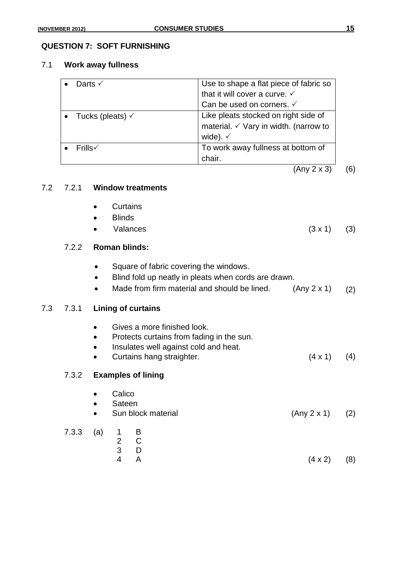#### **QUESTION 7: SOFT FURNISHING**

#### 7.1 **Work away fullness**

| Darts $\checkmark$            | Use to shape a flat piece of fabric so |
|-------------------------------|----------------------------------------|
|                               | that it will cover a curve. V          |
|                               | Can be used on corners. $\checkmark$   |
| • Tucks (pleats) $\checkmark$ | Like pleats stocked on right side of   |
|                               | material. V Vary in width. (narrow to  |
|                               | wide). $\checkmark$                    |
| $Frills\checkmark$            | To work away fullness at bottom of     |
|                               | chair.                                 |

(Any 2 x 3) (6)

#### 7.2 7.2.1 **Window treatments**

- Curtains
- **Blinds**
- Valances  $(3 \times 1)$   $(3)$

# 7.2.2 **Roman blinds:**

- Square of fabric covering the windows.
- Blind fold up neatly in pleats when cords are drawn.
- Made from firm material and should be lined.  $(Any 2 x 1)$   $(2)$

#### 7.3 7.3.1 **Lining of curtains**

 Gives a more finished look. • Protects curtains from fading in the sun. • Insulates well against cold and heat. • Curtains hang straighter. (4 x 1) (4) 7.3.2 **Examples of lining** • Calico • Sateen Sun block material (Any 2 x 1) (2) 7.3.3 (a) 1 B 2 C 3 D 4 A (4 x 2) (8)